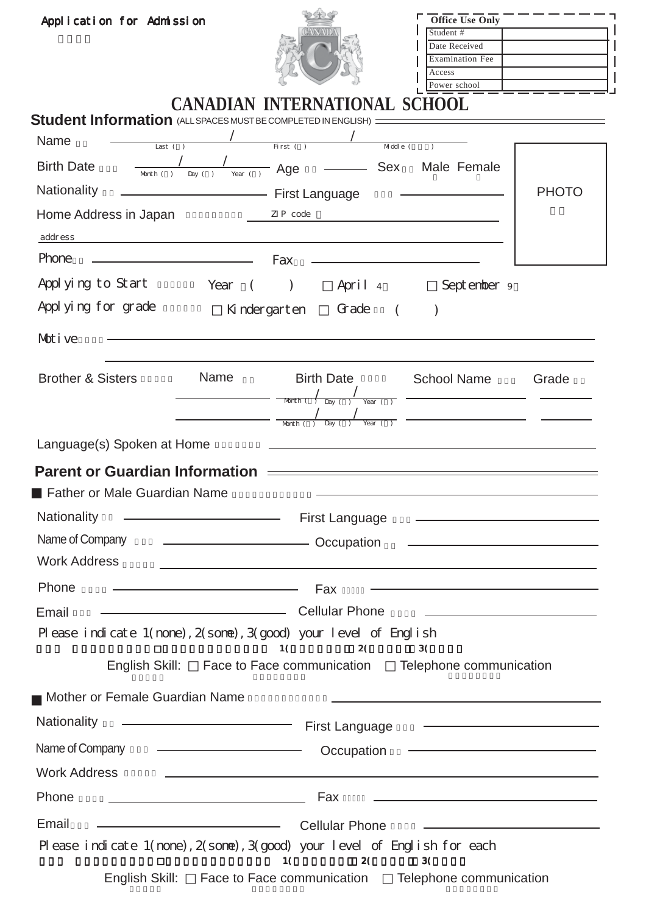| Application for Admission                                                                                                                                                                                                                    |                                                                                                                                                                                |                                                                                                                                                                                                                                                                                                                                              | Office Use Only<br>Student #<br>Date Received<br><b>Examination Fee</b><br>Access<br>Power school                                                                                                                                                                                                        |              |
|----------------------------------------------------------------------------------------------------------------------------------------------------------------------------------------------------------------------------------------------|--------------------------------------------------------------------------------------------------------------------------------------------------------------------------------|----------------------------------------------------------------------------------------------------------------------------------------------------------------------------------------------------------------------------------------------------------------------------------------------------------------------------------------------|----------------------------------------------------------------------------------------------------------------------------------------------------------------------------------------------------------------------------------------------------------------------------------------------------------|--------------|
| <b>Student Information</b> (ALL SPACES MUST BE COMPLETED IN ENGLISH) ========<br>Name<br>Last $( )$<br><b>Birth Date</b><br>Nationality<br>Home Address in Japan<br>address<br>Phone<br>Appl ying to Start<br>Appl yi ng for grade<br>Motive | <u> 1989 - Johann Barn, amerikansk politiker (</u> † 1908)<br>Year<br>$\sqrt{2}$                                                                                               | <b>CANADIAN INTERNATIONAL SCHOOL</b><br>First ( )<br>$M$ ddle (<br>$\frac{1}{\text{Mott}(1, 1) \text{Day}(1, 1)}$ $\text{Age}$ $\frac{1}{\text{Age}}$ $\frac{1}{\text{Age}}$ Sex Male Female<br>First Language<br>ZIP code<br><u> 1980 - Andrea Andrew Maria (h. 1980).</u><br>Fax<br>April 4<br>$\left( \right)$<br>Grade<br>Ki nder garten | the control of the control of the control of the control of<br>September 9                                                                                                                                                                                                                               | <b>PHOTO</b> |
| <b>Brother &amp; Sisters</b>                                                                                                                                                                                                                 | <b>Name</b>                                                                                                                                                                    | <b>Birth Date</b><br>$\begin{array}{c c} \begin{array}{c} \end{array} \\ \text{Month} \begin{array}{c} \end{array} \\ \text{Day} \begin{array}{c} \end{array} \\ \text{Year} \begin{array}{c} \end{array} \\ \text{Year} \end{array}$                                                                                                        | <b>School Name</b><br><u> 1989 - Johann Barn, mars eta bainar eta idazlea (h. 1989).</u>                                                                                                                                                                                                                 | Grade        |
| Language(s) Spoken at Home<br><b>Parent or Guardian Information</b><br><b>Father or Male Guardian Name</b><br><b>Nationality</b><br>Name of Company<br><b>Work Address</b>                                                                   |                                                                                                                                                                                | First Language<br>Occupation                                                                                                                                                                                                                                                                                                                 | <u> 1989 - Johann Stein, mars an deutscher Stein und der Stein und der Stein und der Stein und der Stein und der</u><br>the control of the control of the control of the control of the control of                                                                                                       |              |
| Phone<br>Email<br>Please indicate 1(none), 2(sone), 3(good) your level of English<br>English Skill:                                                                                                                                          | <u> 1989 - Johann Harry Harry Harry Harry Harry Harry Harry Harry Harry Harry Harry Harry Harry Harry Harry Harry</u>                                                          | Fax<br>Cellular Phone<br>1(<br>2(<br>Face to Face communication Telephone communication                                                                                                                                                                                                                                                      | 3(                                                                                                                                                                                                                                                                                                       |              |
| Mother or Female Guardian Name<br><b>Nationality</b><br>Name of Company<br><b>Work Address</b>                                                                                                                                               | <u> 1989 - Johann Barn, amerikansk politiker (</u><br><u> Alexandria de la contrada de la contrada de la contrada de la contrada de la contrada de la contrada de la c</u>     | First Language<br>Occupation<br>and the control of the control of the control of the control of the control of the control of the control of the                                                                                                                                                                                             |                                                                                                                                                                                                                                                                                                          |              |
| Phone<br>Email<br>Please indicate 1(none), 2(sone), 3(good) your level of English for each<br>English Skill:                                                                                                                                 | <u> 1990 - Johann Barbara, martin amerikan basar da</u><br><u> 1989 - Johann Barn, mars eta bainar eta baina eta baina eta baina eta baina eta baina eta baina eta baina e</u> | Fax<br><b>Cellular Phone</b><br>1(<br>2(<br>Face to Face communication Telephone communication                                                                                                                                                                                                                                               | <u> 1989 - Johann Barn, amerikansk politiker (d. 1989)</u><br><u>and the state of the state of the state of the state of the state of the state of the state of the state of the state of the state of the state of the state of the state of the state of the state of the state of the state</u><br>3( |              |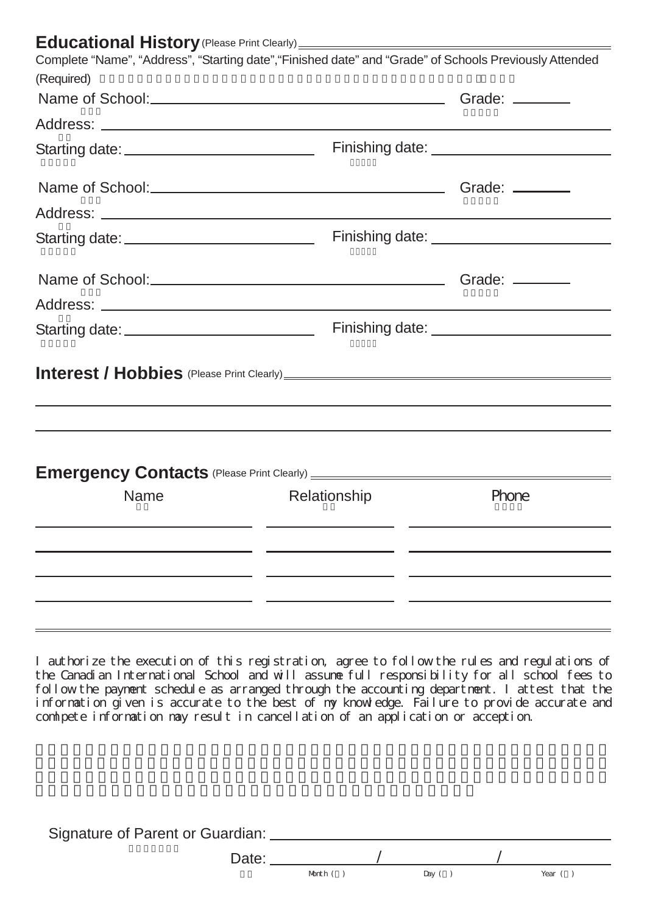## **Educational History**(Please Print Clearly)

| <b>EQUUCATION IQI FIISTUI V</b> (Figase Filiti Cleany) <u>————————</u><br>Complete "Name", "Address", "Starting date", "Finished date" and "Grade" of Schools Previously Attended |              |                                              |
|-----------------------------------------------------------------------------------------------------------------------------------------------------------------------------------|--------------|----------------------------------------------|
| (Required)                                                                                                                                                                        |              |                                              |
|                                                                                                                                                                                   |              |                                              |
|                                                                                                                                                                                   |              |                                              |
| Starting date: ______________________________                                                                                                                                     |              |                                              |
|                                                                                                                                                                                   |              |                                              |
|                                                                                                                                                                                   |              |                                              |
|                                                                                                                                                                                   |              | Finishing date: ____________________________ |
|                                                                                                                                                                                   |              |                                              |
|                                                                                                                                                                                   |              |                                              |
| Starting date: ______________________________                                                                                                                                     |              |                                              |
|                                                                                                                                                                                   |              |                                              |
| Name                                                                                                                                                                              | Relationship | Phone                                        |
|                                                                                                                                                                                   |              |                                              |

I authorize the execution of this registration, agree to follow the rules and regulations of the Canadian International School and will assume full responsibility for all school fees to follow the payment schedule as arranged through the accounting department. I attest that the information given is accurate to the best of my knowledge. Failure to provide accurate and comlpete information may result in cancellation of an application or acception.

| Signature of Parent or Guardian: _ |         |           |  |        |
|------------------------------------|---------|-----------|--|--------|
| Date:                              |         |           |  |        |
|                                    | Month ( | Day $($ ) |  | Year ( |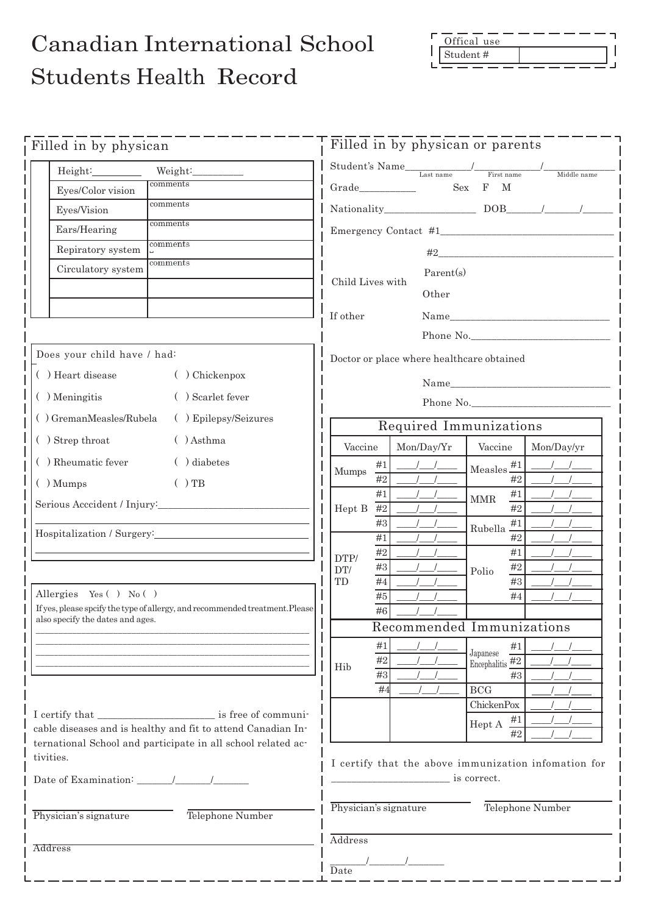## Offical use Student #

## Canadian International School Students Health Record

| Filled in by physican                                                                                            | Filled in by physican or parents                                                                                                                                                                                                                                                                                                                                                                                                                                                          |  |  |  |  |
|------------------------------------------------------------------------------------------------------------------|-------------------------------------------------------------------------------------------------------------------------------------------------------------------------------------------------------------------------------------------------------------------------------------------------------------------------------------------------------------------------------------------------------------------------------------------------------------------------------------------|--|--|--|--|
| Height: Weight: Weight:                                                                                          |                                                                                                                                                                                                                                                                                                                                                                                                                                                                                           |  |  |  |  |
| comments<br>Eyes/Color vision                                                                                    | Middle name<br>$_{\rm F}$<br>M<br>Sex                                                                                                                                                                                                                                                                                                                                                                                                                                                     |  |  |  |  |
| comments<br>Eyes/Vision                                                                                          |                                                                                                                                                                                                                                                                                                                                                                                                                                                                                           |  |  |  |  |
| comments<br>Ears/Hearing                                                                                         |                                                                                                                                                                                                                                                                                                                                                                                                                                                                                           |  |  |  |  |
| comments<br>Repiratory system                                                                                    |                                                                                                                                                                                                                                                                                                                                                                                                                                                                                           |  |  |  |  |
| comments<br>Circulatory system                                                                                   |                                                                                                                                                                                                                                                                                                                                                                                                                                                                                           |  |  |  |  |
|                                                                                                                  | Parent(s)<br>Child Lives with                                                                                                                                                                                                                                                                                                                                                                                                                                                             |  |  |  |  |
|                                                                                                                  | Other                                                                                                                                                                                                                                                                                                                                                                                                                                                                                     |  |  |  |  |
|                                                                                                                  | If other                                                                                                                                                                                                                                                                                                                                                                                                                                                                                  |  |  |  |  |
|                                                                                                                  | Phone No.                                                                                                                                                                                                                                                                                                                                                                                                                                                                                 |  |  |  |  |
| Does your child have / had:                                                                                      | Doctor or place where healthcare obtained                                                                                                                                                                                                                                                                                                                                                                                                                                                 |  |  |  |  |
| ( ) Heart disease<br>( ) Chickenpox                                                                              |                                                                                                                                                                                                                                                                                                                                                                                                                                                                                           |  |  |  |  |
| () Meningitis<br>( ) Scarlet fever                                                                               | Phone No.                                                                                                                                                                                                                                                                                                                                                                                                                                                                                 |  |  |  |  |
| () GremanMeasles/Rubela<br>( ) Epilepsy/Seizures                                                                 | Required Immunizations                                                                                                                                                                                                                                                                                                                                                                                                                                                                    |  |  |  |  |
| () Strep throat<br>$( )$ Asthma                                                                                  | Vaccine<br>Mon/Day/Yr<br>Vaccine<br>Mon/Day/yr                                                                                                                                                                                                                                                                                                                                                                                                                                            |  |  |  |  |
| ( ) Rheumatic fever<br>() diabetes                                                                               | #1                                                                                                                                                                                                                                                                                                                                                                                                                                                                                        |  |  |  |  |
| $( )$ Mumps<br>$( )$ TB                                                                                          | Measles $#1$<br>Mumps<br>#2<br>#2                                                                                                                                                                                                                                                                                                                                                                                                                                                         |  |  |  |  |
|                                                                                                                  | #1<br>#1<br>$\operatorname{MMR}$                                                                                                                                                                                                                                                                                                                                                                                                                                                          |  |  |  |  |
|                                                                                                                  | Hept B $#2$<br>#2<br>#3                                                                                                                                                                                                                                                                                                                                                                                                                                                                   |  |  |  |  |
| Hospitalization / Surgery: 1999.                                                                                 | Rubella $\frac{\#1}{\pi}$<br>#1<br>#2                                                                                                                                                                                                                                                                                                                                                                                                                                                     |  |  |  |  |
|                                                                                                                  | $\#2$<br>#1<br>DTP/                                                                                                                                                                                                                                                                                                                                                                                                                                                                       |  |  |  |  |
|                                                                                                                  | $\#3$<br>#2<br>DT/<br>Polio<br>#4<br>TD<br>#3                                                                                                                                                                                                                                                                                                                                                                                                                                             |  |  |  |  |
| Allergies Yes ( $)$ No ()                                                                                        | #5<br>#4                                                                                                                                                                                                                                                                                                                                                                                                                                                                                  |  |  |  |  |
| If yes, please spcify the type of allergy, and recommended treatment. Please<br>also specify the dates and ages. | #6                                                                                                                                                                                                                                                                                                                                                                                                                                                                                        |  |  |  |  |
|                                                                                                                  | Recommended Immunizations                                                                                                                                                                                                                                                                                                                                                                                                                                                                 |  |  |  |  |
|                                                                                                                  | #1<br>#1<br>Japanese<br>#2                                                                                                                                                                                                                                                                                                                                                                                                                                                                |  |  |  |  |
|                                                                                                                  | Encephalitis $\overline{42}$<br>Hib<br>#3<br>#3                                                                                                                                                                                                                                                                                                                                                                                                                                           |  |  |  |  |
|                                                                                                                  | #4<br>$_{\rm BCG}$                                                                                                                                                                                                                                                                                                                                                                                                                                                                        |  |  |  |  |
|                                                                                                                  | <b>ChickenPox</b>                                                                                                                                                                                                                                                                                                                                                                                                                                                                         |  |  |  |  |
| cable diseases and is healthy and fit to attend Canadian In-                                                     | Hept A $\frac{\#1}{\#2}$<br>#2                                                                                                                                                                                                                                                                                                                                                                                                                                                            |  |  |  |  |
| ternational School and participate in all school related ac-<br>tivities.                                        |                                                                                                                                                                                                                                                                                                                                                                                                                                                                                           |  |  |  |  |
|                                                                                                                  | I certify that the above immunization infomation for<br>$\frac{1}{\sqrt{1-\frac{1}{\sqrt{1-\frac{1}{\sqrt{1-\frac{1}{\sqrt{1-\frac{1}{\sqrt{1-\frac{1}{\sqrt{1-\frac{1}{\sqrt{1-\frac{1}{\sqrt{1-\frac{1}{\sqrt{1-\frac{1}{\sqrt{1-\frac{1}{\sqrt{1-\frac{1}{\sqrt{1-\frac{1}{\sqrt{1-\frac{1}{\sqrt{1-\frac{1}{\sqrt{1-\frac{1}{\sqrt{1-\frac{1}{\sqrt{1-\frac{1}{\sqrt{1-\frac{1}{\sqrt{1-\frac{1}{\sqrt{1-\frac{1}{\sqrt{1-\frac{1}{\sqrt{1-\frac{1}{\sqrt{1-\frac{1}{\sqrt{1-\frac{1$ |  |  |  |  |
|                                                                                                                  |                                                                                                                                                                                                                                                                                                                                                                                                                                                                                           |  |  |  |  |
| Physician's signature<br>Telephone Number                                                                        | Physician's signature<br>Telephone Number                                                                                                                                                                                                                                                                                                                                                                                                                                                 |  |  |  |  |
|                                                                                                                  |                                                                                                                                                                                                                                                                                                                                                                                                                                                                                           |  |  |  |  |
| Address                                                                                                          | Address                                                                                                                                                                                                                                                                                                                                                                                                                                                                                   |  |  |  |  |
|                                                                                                                  | $\frac{1}{2}$<br>Date                                                                                                                                                                                                                                                                                                                                                                                                                                                                     |  |  |  |  |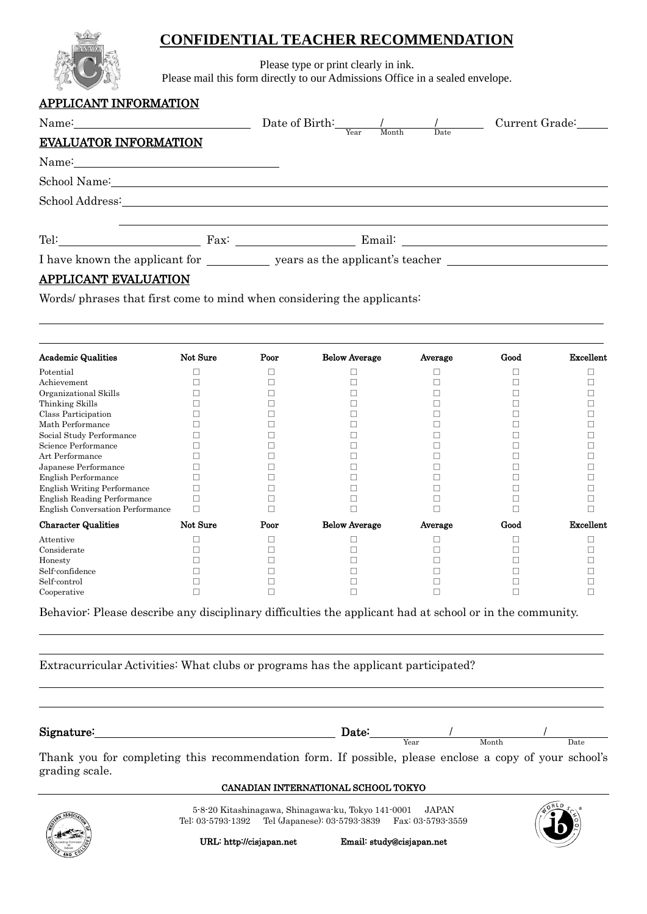### **CONFIDENTIAL TEACHER RECOMMENDATION**



Please type or print clearly in ink.

Please mail this form directly to our Admissions Office in a sealed envelope.

#### APPLICANT INFORMATION

| Name:                                                                                                                                                                                                                          |  | Date of Birth: $\frac{1}{\text{Year}}$ Month Date Current Grade: |
|--------------------------------------------------------------------------------------------------------------------------------------------------------------------------------------------------------------------------------|--|------------------------------------------------------------------|
| <b>EVALUATOR INFORMATION</b>                                                                                                                                                                                                   |  |                                                                  |
| Name: Name:                                                                                                                                                                                                                    |  |                                                                  |
| School Name: Name and School Name and School Name and School Name and School Name and School School Name and School School School School School School School School School School School School School School School School S |  |                                                                  |
| School Address: The School Address and School Address and School Address and School Address and School Address and School Address and School Address and School Address and School Address and School Address and School Addre |  |                                                                  |
|                                                                                                                                                                                                                                |  |                                                                  |
|                                                                                                                                                                                                                                |  |                                                                  |
| I have known the applicant for ____________ years as the applicant's teacher                                                                                                                                                   |  |                                                                  |

### APPLICANT EVALUATION

 $\overline{a}$ 

 $\overline{a}$  $\overline{a}$ 

 $\overline{a}$  $\overline{a}$ 

Words/ phrases that first come to mind when considering the applicants:

| <b>Academic Qualities</b>               | Not Sure | Poor | <b>Below Average</b> | Average | Good | Excellent |
|-----------------------------------------|----------|------|----------------------|---------|------|-----------|
| Potential                               |          |      |                      |         |      |           |
| Achievement                             |          |      |                      |         |      |           |
| Organizational Skills                   |          |      |                      |         |      |           |
| Thinking Skills                         |          |      |                      |         |      |           |
| Class Participation                     |          |      |                      |         |      |           |
| Math Performance                        |          |      |                      |         |      |           |
| Social Study Performance                |          |      |                      |         |      |           |
| Science Performance                     |          |      |                      |         |      |           |
| Art Performance                         |          |      |                      |         |      |           |
| Japanese Performance                    |          |      |                      |         |      |           |
| <b>English Performance</b>              |          |      |                      |         |      |           |
| <b>English Writing Performance</b>      |          |      |                      |         |      |           |
| English Reading Performance             |          |      |                      |         |      |           |
| <b>English Conversation Performance</b> |          |      |                      |         |      |           |
| <b>Character Qualities</b>              | Not Sure | Poor | <b>Below Average</b> | Average | Good | Excellent |
| Attentive                               |          |      |                      |         |      |           |
| Considerate                             |          |      |                      |         |      |           |
| Honesty                                 |          |      |                      |         |      |           |
| Self-confidence                         |          |      |                      |         |      |           |
| Self-control                            |          |      |                      |         |      |           |
| Cooperative                             |          |      |                      |         |      |           |

Behavior: Please describe any disciplinary difficulties the applicant had at school or in the community.

Extracurricular Activities: What clubs or programs has the applicant participated?

Signature: Date: / / Thank you for completing this recommendation form. If possible, please enclose a copy of your school's grading scale. Year Month Date

#### CANADIAN INTERNATIONAL SCHOOL TOKYO

5-8-20 Kitashinagawa, Shinagawa-ku, Tokyo 141-0001 JAPAN Tel: 03-5793-1392 Tel (Japanese): 03-5793-3839 Fax: 03-5793-3559





URL: http://cisjapan.net Email: study@cisjapan.net